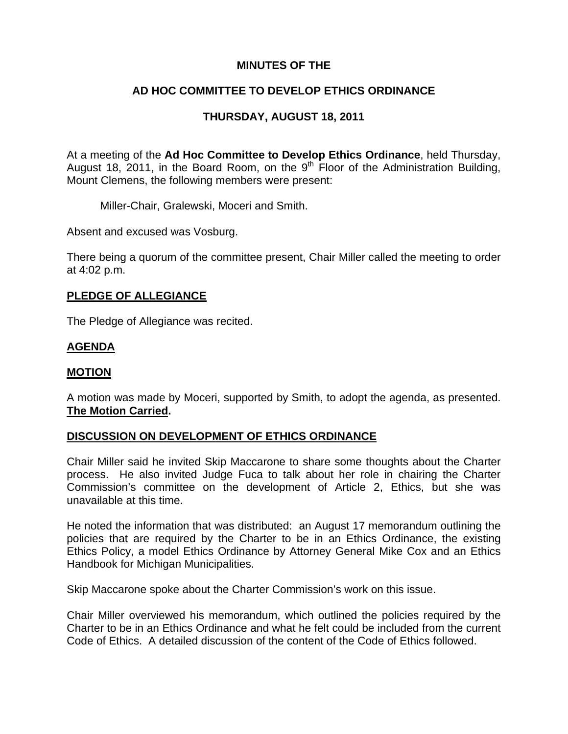## **MINUTES OF THE**

# **AD HOC COMMITTEE TO DEVELOP ETHICS ORDINANCE**

# **THURSDAY, AUGUST 18, 2011**

At a meeting of the **Ad Hoc Committee to Develop Ethics Ordinance**, held Thursday, August 18, 2011, in the Board Room, on the 9<sup>th</sup> Floor of the Administration Building, Mount Clemens, the following members were present:

Miller-Chair, Gralewski, Moceri and Smith.

Absent and excused was Vosburg.

There being a quorum of the committee present, Chair Miller called the meeting to order at 4:02 p.m.

### **PLEDGE OF ALLEGIANCE**

The Pledge of Allegiance was recited.

## **AGENDA**

### **MOTION**

A motion was made by Moceri, supported by Smith, to adopt the agenda, as presented. **The Motion Carried.** 

## **DISCUSSION ON DEVELOPMENT OF ETHICS ORDINANCE**

Chair Miller said he invited Skip Maccarone to share some thoughts about the Charter process. He also invited Judge Fuca to talk about her role in chairing the Charter Commission's committee on the development of Article 2, Ethics, but she was unavailable at this time.

He noted the information that was distributed: an August 17 memorandum outlining the policies that are required by the Charter to be in an Ethics Ordinance, the existing Ethics Policy, a model Ethics Ordinance by Attorney General Mike Cox and an Ethics Handbook for Michigan Municipalities.

Skip Maccarone spoke about the Charter Commission's work on this issue.

Chair Miller overviewed his memorandum, which outlined the policies required by the Charter to be in an Ethics Ordinance and what he felt could be included from the current Code of Ethics. A detailed discussion of the content of the Code of Ethics followed.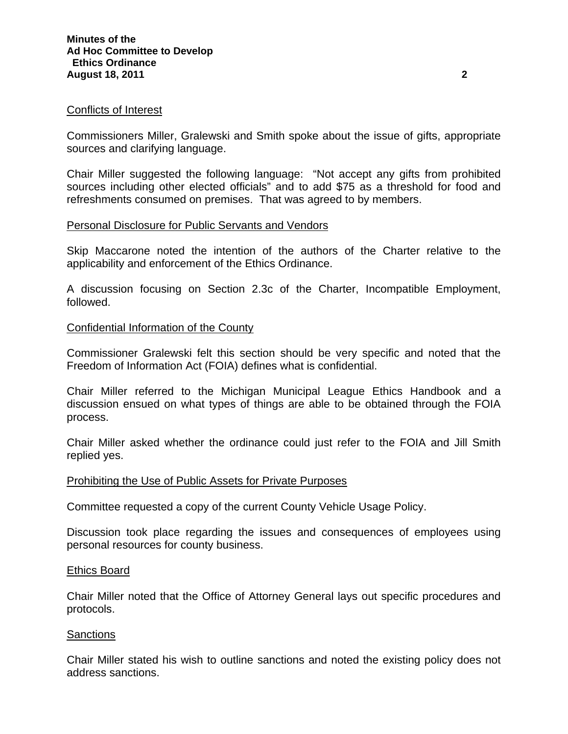#### Conflicts of Interest

Commissioners Miller, Gralewski and Smith spoke about the issue of gifts, appropriate sources and clarifying language.

Chair Miller suggested the following language: "Not accept any gifts from prohibited sources including other elected officials" and to add \$75 as a threshold for food and refreshments consumed on premises. That was agreed to by members.

#### Personal Disclosure for Public Servants and Vendors

Skip Maccarone noted the intention of the authors of the Charter relative to the applicability and enforcement of the Ethics Ordinance.

A discussion focusing on Section 2.3c of the Charter, Incompatible Employment, followed.

#### Confidential Information of the County

Commissioner Gralewski felt this section should be very specific and noted that the Freedom of Information Act (FOIA) defines what is confidential.

Chair Miller referred to the Michigan Municipal League Ethics Handbook and a discussion ensued on what types of things are able to be obtained through the FOIA process.

Chair Miller asked whether the ordinance could just refer to the FOIA and Jill Smith replied yes.

#### Prohibiting the Use of Public Assets for Private Purposes

Committee requested a copy of the current County Vehicle Usage Policy.

Discussion took place regarding the issues and consequences of employees using personal resources for county business.

#### Ethics Board

Chair Miller noted that the Office of Attorney General lays out specific procedures and protocols.

#### **Sanctions**

Chair Miller stated his wish to outline sanctions and noted the existing policy does not address sanctions.